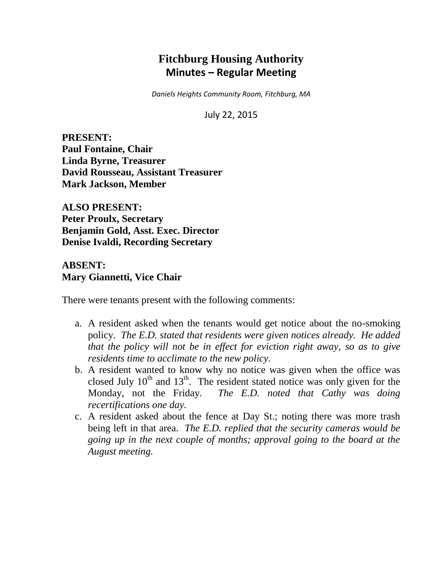# **Fitchburg Housing Authority Minutes – Regular Meeting**

*Daniels Heights Community Room, Fitchburg, MA*

July 22, 2015

**PRESENT: Paul Fontaine, Chair Linda Byrne, Treasurer David Rousseau, Assistant Treasurer Mark Jackson, Member**

**ALSO PRESENT: Peter Proulx, Secretary Benjamin Gold, Asst. Exec. Director Denise Ivaldi, Recording Secretary**

**ABSENT: Mary Giannetti, Vice Chair**

There were tenants present with the following comments:

- a. A resident asked when the tenants would get notice about the no-smoking policy. *The E.D. stated that residents were given notices already. He added that the policy will not be in effect for eviction right away, so as to give residents time to acclimate to the new policy.*
- b. A resident wanted to know why no notice was given when the office was closed July  $10^{th}$  and  $13^{th}$ . The resident stated notice was only given for the Monday, not the Friday. *The E.D. noted that Cathy was doing recertifications one day.*
- c. A resident asked about the fence at Day St.; noting there was more trash being left in that area. *The E.D. replied that the security cameras would be going up in the next couple of months; approval going to the board at the August meeting.*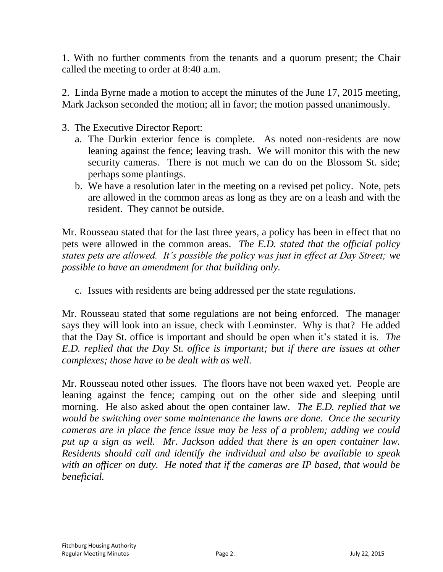1. With no further comments from the tenants and a quorum present; the Chair called the meeting to order at 8:40 a.m.

2. Linda Byrne made a motion to accept the minutes of the June 17, 2015 meeting, Mark Jackson seconded the motion; all in favor; the motion passed unanimously.

- 3. The Executive Director Report:
	- a. The Durkin exterior fence is complete. As noted non-residents are now leaning against the fence; leaving trash. We will monitor this with the new security cameras. There is not much we can do on the Blossom St. side; perhaps some plantings.
	- b. We have a resolution later in the meeting on a revised pet policy. Note, pets are allowed in the common areas as long as they are on a leash and with the resident. They cannot be outside.

Mr. Rousseau stated that for the last three years, a policy has been in effect that no pets were allowed in the common areas. *The E.D. stated that the official policy states pets are allowed. It's possible the policy was just in effect at Day Street; we possible to have an amendment for that building only.*

c. Issues with residents are being addressed per the state regulations.

Mr. Rousseau stated that some regulations are not being enforced. The manager says they will look into an issue, check with Leominster. Why is that? He added that the Day St. office is important and should be open when it's stated it is. *The E.D. replied that the Day St. office is important; but if there are issues at other complexes; those have to be dealt with as well.*

Mr. Rousseau noted other issues. The floors have not been waxed yet. People are leaning against the fence; camping out on the other side and sleeping until morning. He also asked about the open container law. *The E.D. replied that we would be switching over some maintenance the lawns are done. Once the security cameras are in place the fence issue may be less of a problem; adding we could put up a sign as well. Mr. Jackson added that there is an open container law. Residents should call and identify the individual and also be available to speak with an officer on duty. He noted that if the cameras are IP based, that would be beneficial.*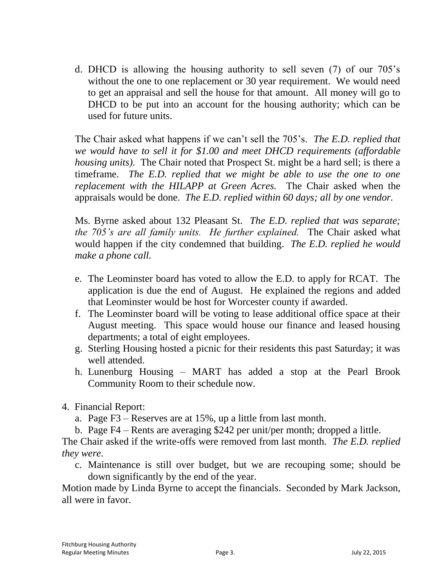d. DHCD is allowing the housing authority to sell seven (7) of our 705's without the one to one replacement or 30 year requirement. We would need to get an appraisal and sell the house for that amount. All money will go to DHCD to be put into an account for the housing authority; which can be used for future units.

The Chair asked what happens if we can't sell the 705's. *The E.D. replied that we would have to sell it for \$1.00 and meet DHCD requirements (affordable housing units).* The Chair noted that Prospect St. might be a hard sell; is there a timeframe. *The E.D. replied that we might be able to use the one to one replacement with the HILAPP at Green Acres.* The Chair asked when the appraisals would be done. *The E.D. replied within 60 days; all by one vendor.*

Ms. Byrne asked about 132 Pleasant St. *The E.D. replied that was separate; the 705's are all family units. He further explained.* The Chair asked what would happen if the city condemned that building. *The E.D. replied he would make a phone call.*

- e. The Leominster board has voted to allow the E.D. to apply for RCAT. The application is due the end of August. He explained the regions and added that Leominster would be host for Worcester county if awarded.
- f. The Leominster board will be voting to lease additional office space at their August meeting. This space would house our finance and leased housing departments; a total of eight employees.
- g. Sterling Housing hosted a picnic for their residents this past Saturday; it was well attended.
- h. Lunenburg Housing MART has added a stop at the Pearl Brook Community Room to their schedule now.
- 4. Financial Report:
	- a. Page F3 Reserves are at 15%, up a little from last month.
	- b. Page F4 Rents are averaging \$242 per unit/per month; dropped a little.

The Chair asked if the write-offs were removed from last month. *The E.D. replied they were.*

c. Maintenance is still over budget, but we are recouping some; should be down significantly by the end of the year.

Motion made by Linda Byrne to accept the financials. Seconded by Mark Jackson, all were in favor.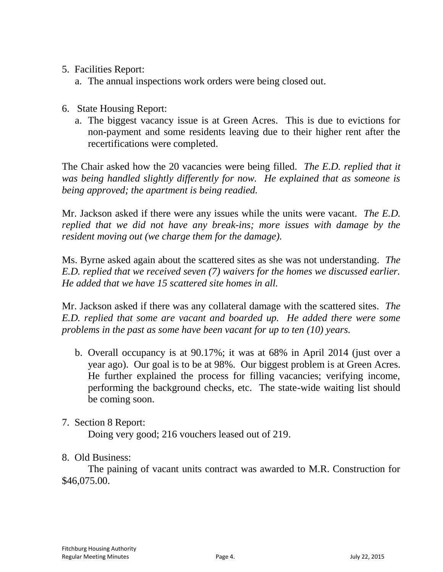- 5. Facilities Report:
	- a. The annual inspections work orders were being closed out.
- 6. State Housing Report:
	- a. The biggest vacancy issue is at Green Acres. This is due to evictions for non-payment and some residents leaving due to their higher rent after the recertifications were completed.

The Chair asked how the 20 vacancies were being filled. *The E.D. replied that it was being handled slightly differently for now. He explained that as someone is being approved; the apartment is being readied.*

Mr. Jackson asked if there were any issues while the units were vacant. *The E.D. replied that we did not have any break-ins; more issues with damage by the resident moving out (we charge them for the damage).*

Ms. Byrne asked again about the scattered sites as she was not understanding. *The E.D. replied that we received seven (7) waivers for the homes we discussed earlier. He added that we have 15 scattered site homes in all.* 

Mr. Jackson asked if there was any collateral damage with the scattered sites. *The E.D. replied that some are vacant and boarded up. He added there were some problems in the past as some have been vacant for up to ten (10) years.*

b. Overall occupancy is at 90.17%; it was at 68% in April 2014 (just over a year ago). Our goal is to be at 98%. Our biggest problem is at Green Acres. He further explained the process for filling vacancies; verifying income, performing the background checks, etc. The state-wide waiting list should be coming soon.

## 7. Section 8 Report:

Doing very good; 216 vouchers leased out of 219.

8. Old Business:

The paining of vacant units contract was awarded to M.R. Construction for \$46,075.00.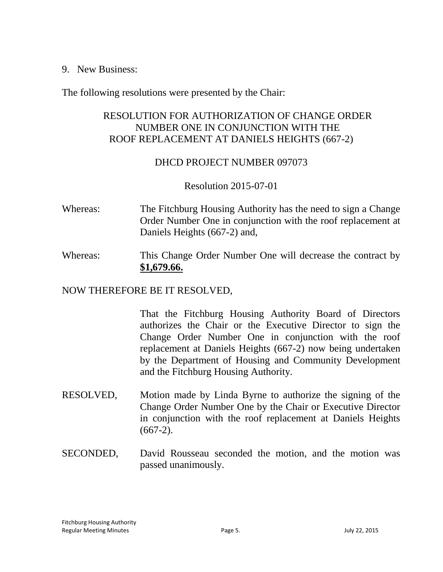9. New Business:

The following resolutions were presented by the Chair:

## RESOLUTION FOR AUTHORIZATION OF CHANGE ORDER NUMBER ONE IN CONJUNCTION WITH THE ROOF REPLACEMENT AT DANIELS HEIGHTS (667-2)

## DHCD PROJECT NUMBER 097073

## Resolution 2015-07-01

- Whereas: The Fitchburg Housing Authority has the need to sign a Change Order Number One in conjunction with the roof replacement at Daniels Heights (667-2) and,
- Whereas: This Change Order Number One will decrease the contract by **\$1,679.66.**

## NOW THEREFORE BE IT RESOLVED,

That the Fitchburg Housing Authority Board of Directors authorizes the Chair or the Executive Director to sign the Change Order Number One in conjunction with the roof replacement at Daniels Heights (667-2) now being undertaken by the Department of Housing and Community Development and the Fitchburg Housing Authority.

- RESOLVED, Motion made by Linda Byrne to authorize the signing of the Change Order Number One by the Chair or Executive Director in conjunction with the roof replacement at Daniels Heights  $(667-2)$ .
- SECONDED, David Rousseau seconded the motion, and the motion was passed unanimously.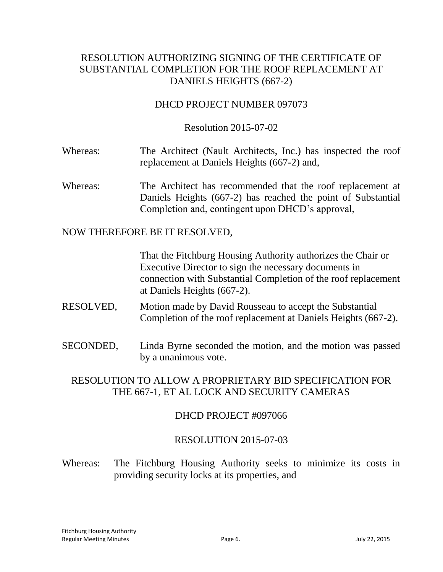## RESOLUTION AUTHORIZING SIGNING OF THE CERTIFICATE OF SUBSTANTIAL COMPLETION FOR THE ROOF REPLACEMENT AT DANIELS HEIGHTS (667-2)

## DHCD PROJECT NUMBER 097073

#### Resolution 2015-07-02

- Whereas: The Architect (Nault Architects, Inc.) has inspected the roof replacement at Daniels Heights (667-2) and,
- Whereas: The Architect has recommended that the roof replacement at Daniels Heights (667-2) has reached the point of Substantial Completion and, contingent upon DHCD's approval,

#### NOW THEREFORE BE IT RESOLVED,

That the Fitchburg Housing Authority authorizes the Chair or Executive Director to sign the necessary documents in connection with Substantial Completion of the roof replacement at Daniels Heights (667-2).

- RESOLVED, Motion made by David Rousseau to accept the Substantial Completion of the roof replacement at Daniels Heights (667-2).
- SECONDED, Linda Byrne seconded the motion, and the motion was passed by a unanimous vote.

## RESOLUTION TO ALLOW A PROPRIETARY BID SPECIFICATION FOR THE 667-1, ET AL LOCK AND SECURITY CAMERAS

#### DHCD PROJECT #097066

#### RESOLUTION 2015-07-03

Whereas: The Fitchburg Housing Authority seeks to minimize its costs in providing security locks at its properties, and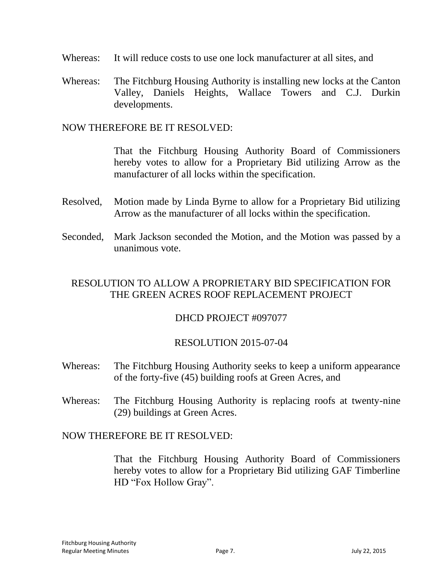- Whereas: It will reduce costs to use one lock manufacturer at all sites, and
- Whereas:The Fitchburg Housing Authority is installing new locks at the Canton Valley, Daniels Heights, Wallace Towers and C.J. Durkin developments.

NOW THEREFORE BE IT RESOLVED:

That the Fitchburg Housing Authority Board of Commissioners hereby votes to allow for a Proprietary Bid utilizing Arrow as the manufacturer of all locks within the specification.

- Resolved, Motion made by Linda Byrne to allow for a Proprietary Bid utilizing Arrow as the manufacturer of all locks within the specification.
- Seconded, Mark Jackson seconded the Motion, and the Motion was passed by a unanimous vote.

## RESOLUTION TO ALLOW A PROPRIETARY BID SPECIFICATION FOR THE GREEN ACRES ROOF REPLACEMENT PROJECT

#### DHCD PROJECT #097077

## RESOLUTION 2015-07-04

- Whereas: The Fitchburg Housing Authority seeks to keep a uniform appearance of the forty-five (45) building roofs at Green Acres, and
- Whereas:The Fitchburg Housing Authority is replacing roofs at twenty-nine (29) buildings at Green Acres.

#### NOW THEREFORE BE IT RESOLVED:

That the Fitchburg Housing Authority Board of Commissioners hereby votes to allow for a Proprietary Bid utilizing GAF Timberline HD "Fox Hollow Gray".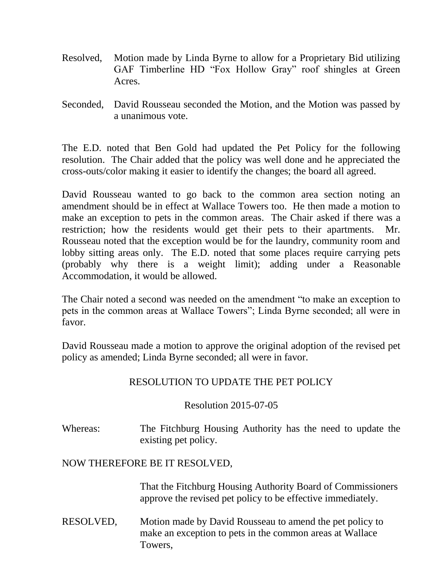- Resolved, Motion made by Linda Byrne to allow for a Proprietary Bid utilizing GAF Timberline HD "Fox Hollow Gray" roof shingles at Green Acres.
- Seconded, David Rousseau seconded the Motion, and the Motion was passed by a unanimous vote.

The E.D. noted that Ben Gold had updated the Pet Policy for the following resolution. The Chair added that the policy was well done and he appreciated the cross-outs/color making it easier to identify the changes; the board all agreed.

David Rousseau wanted to go back to the common area section noting an amendment should be in effect at Wallace Towers too. He then made a motion to make an exception to pets in the common areas. The Chair asked if there was a restriction; how the residents would get their pets to their apartments. Mr. Rousseau noted that the exception would be for the laundry, community room and lobby sitting areas only. The E.D. noted that some places require carrying pets (probably why there is a weight limit); adding under a Reasonable Accommodation, it would be allowed.

The Chair noted a second was needed on the amendment "to make an exception to pets in the common areas at Wallace Towers"; Linda Byrne seconded; all were in favor.

David Rousseau made a motion to approve the original adoption of the revised pet policy as amended; Linda Byrne seconded; all were in favor.

## RESOLUTION TO UPDATE THE PET POLICY

## Resolution 2015-07-05

Whereas: The Fitchburg Housing Authority has the need to update the existing pet policy.

## NOW THEREFORE BE IT RESOLVED,

That the Fitchburg Housing Authority Board of Commissioners approve the revised pet policy to be effective immediately.

RESOLVED, Motion made by David Rousseau to amend the pet policy to make an exception to pets in the common areas at Wallace Towers,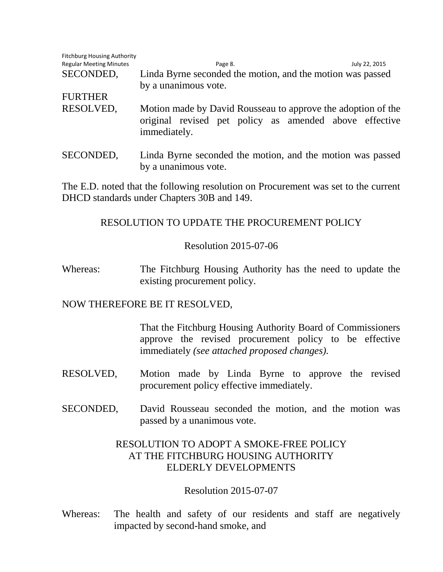| <b>Fitchburg Housing Authority</b> |                                                                                                                                        |               |
|------------------------------------|----------------------------------------------------------------------------------------------------------------------------------------|---------------|
| <b>Regular Meeting Minutes</b>     | Page 8.                                                                                                                                | July 22, 2015 |
| SECONDED,                          | Linda Byrne seconded the motion, and the motion was passed                                                                             |               |
|                                    | by a unanimous vote.                                                                                                                   |               |
| <b>FURTHER</b>                     |                                                                                                                                        |               |
| RESOLVED,                          | Motion made by David Rousseau to approve the adoption of the<br>original revised pet policy as amended above effective<br>immediately. |               |
| SECONDED,                          | Linda Byrne seconded the motion, and the motion was passed<br>by a unanimous vote.                                                     |               |

The E.D. noted that the following resolution on Procurement was set to the current DHCD standards under Chapters 30B and 149.

## RESOLUTION TO UPDATE THE PROCUREMENT POLICY

## Resolution 2015-07-06

Whereas: The Fitchburg Housing Authority has the need to update the existing procurement policy.

## NOW THEREFORE BE IT RESOLVED,

That the Fitchburg Housing Authority Board of Commissioners approve the revised procurement policy to be effective immediately *(see attached proposed changes).*

- RESOLVED, Motion made by Linda Byrne to approve the revised procurement policy effective immediately.
- SECONDED, David Rousseau seconded the motion, and the motion was passed by a unanimous vote.

## RESOLUTION TO ADOPT A SMOKE-FREE POLICY AT THE FITCHBURG HOUSING AUTHORITY ELDERLY DEVELOPMENTS

## Resolution 2015-07-07

Whereas: The health and safety of our residents and staff are negatively impacted by second-hand smoke, and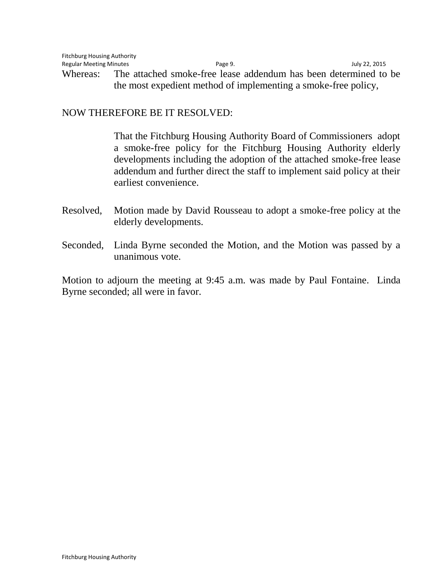#### NOW THEREFORE BE IT RESOLVED:

That the Fitchburg Housing Authority Board of Commissioners adopt a smoke-free policy for the Fitchburg Housing Authority elderly developments including the adoption of the attached smoke-free lease addendum and further direct the staff to implement said policy at their earliest convenience.

- Resolved, Motion made by David Rousseau to adopt a smoke-free policy at the elderly developments.
- Seconded, Linda Byrne seconded the Motion, and the Motion was passed by a unanimous vote.

Motion to adjourn the meeting at 9:45 a.m. was made by Paul Fontaine. Linda Byrne seconded; all were in favor.